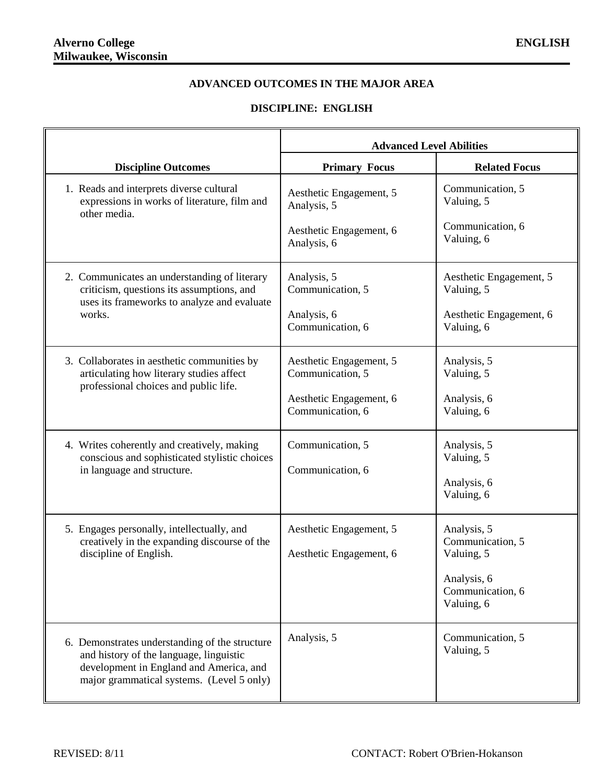## **ADVANCED OUTCOMES IN THE MAJOR AREA**

## **DISCIPLINE: ENGLISH**

|                                                                                                                                                                                   | <b>Advanced Level Abilities</b>                                                            |                                                                                                |
|-----------------------------------------------------------------------------------------------------------------------------------------------------------------------------------|--------------------------------------------------------------------------------------------|------------------------------------------------------------------------------------------------|
| <b>Discipline Outcomes</b>                                                                                                                                                        | <b>Primary Focus</b>                                                                       | <b>Related Focus</b>                                                                           |
| 1. Reads and interprets diverse cultural<br>expressions in works of literature, film and<br>other media.                                                                          | Aesthetic Engagement, 5<br>Analysis, 5<br>Aesthetic Engagement, 6<br>Analysis, 6           | Communication, 5<br>Valuing, 5<br>Communication, 6<br>Valuing, 6                               |
| 2. Communicates an understanding of literary<br>criticism, questions its assumptions, and<br>uses its frameworks to analyze and evaluate<br>works.                                | Analysis, 5<br>Communication, 5<br>Analysis, 6<br>Communication, 6                         | Aesthetic Engagement, 5<br>Valuing, 5<br>Aesthetic Engagement, 6<br>Valuing, 6                 |
| 3. Collaborates in aesthetic communities by<br>articulating how literary studies affect<br>professional choices and public life.                                                  | Aesthetic Engagement, 5<br>Communication, 5<br>Aesthetic Engagement, 6<br>Communication, 6 | Analysis, 5<br>Valuing, 5<br>Analysis, 6<br>Valuing, 6                                         |
| 4. Writes coherently and creatively, making<br>conscious and sophisticated stylistic choices<br>in language and structure.                                                        | Communication, 5<br>Communication, 6                                                       | Analysis, 5<br>Valuing, 5<br>Analysis, 6<br>Valuing, 6                                         |
| 5. Engages personally, intellectually, and<br>creatively in the expanding discourse of the<br>discipline of English.                                                              | Aesthetic Engagement, 5<br>Aesthetic Engagement, 6                                         | Analysis, 5<br>Communication, 5<br>Valuing, 5<br>Analysis, 6<br>Communication, 6<br>Valuing, 6 |
| 6. Demonstrates understanding of the structure<br>and history of the language, linguistic<br>development in England and America, and<br>major grammatical systems. (Level 5 only) | Analysis, 5                                                                                | Communication, 5<br>Valuing, 5                                                                 |